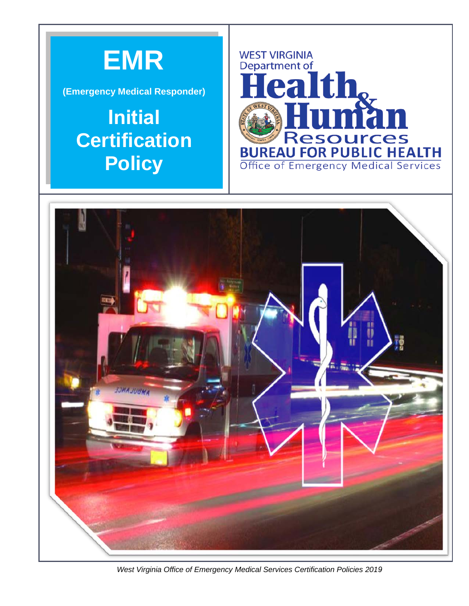

**(Emergency Medical Responder)** 

## **Initial Certification Policy**





*West Virginia Office of Emergency Medical Services Certification Policies 2019*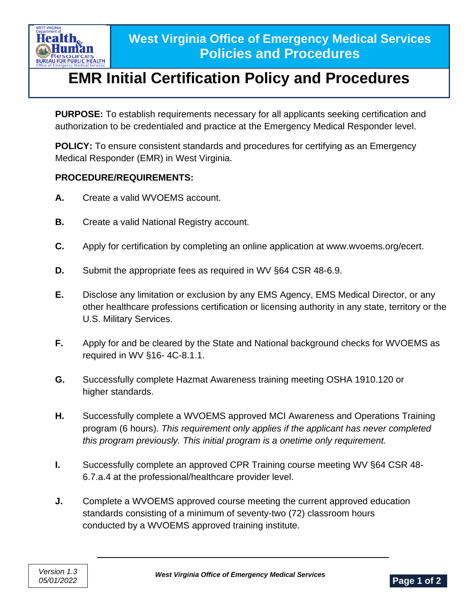

## **EMR Initial Certification Policy and Procedures**

**PURPOSE:** To establish requirements necessary for all applicants seeking certification and authorization to be credentialed and practice at the Emergency Medical Responder level.

**POLICY:** To ensure consistent standards and procedures for certifying as an Emergency Medical Responder (EMR) in West Virginia.

## **PROCEDURE/REQUIREMENTS:**

- **A.** Create a valid WVOEMS account.
- **B.** Create a valid National Registry account.
- **C.** Apply for certification by completing an online application at www.wvoems.org/ecert.
- **D.** Submit the appropriate fees as required in WV §64 CSR 48-6.9.
- **E.** Disclose any limitation or exclusion by any EMS Agency, EMS Medical Director, or any other healthcare professions certification or licensing authority in any state, territory or the U.S. Military Services.
- **F.** Apply for and be cleared by the State and National background checks for WVOEMS as required in WV §16- 4C-8.1.1.
- **G.** Successfully complete Hazmat Awareness training meeting OSHA 1910.120 or higher standards.
- **H.** Successfully complete a WVOEMS approved MCI Awareness and Operations Training program (6 hours). *This requirement only applies if the applicant has never completed this program previously. This initial program is a onetime only requirement.*
- **I.** Successfully complete an approved CPR Training course meeting WV §64 CSR 48- 6.7.a.4 at the professional/healthcare provider level.
- **J.** Complete a WVOEMS approved course meeting the current approved education standards consisting of a minimum of seventy-two (72) classroom hours conducted by a WVOEMS approved training institute.